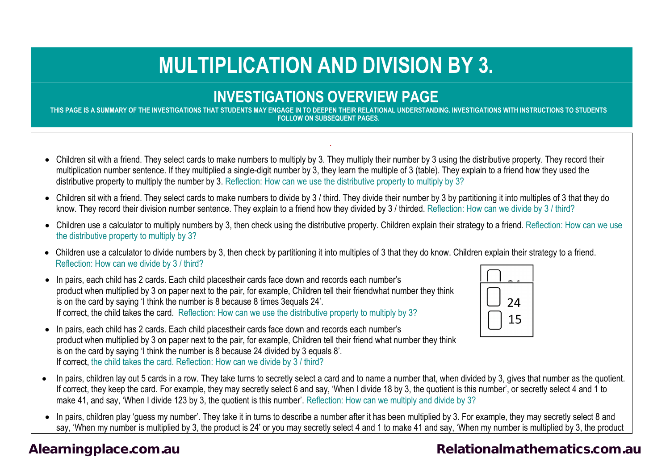# **MULTIPLICATION AND DIVISION BY 3.**

#### **INVESTIGATIONS OVERVIEW PAGE**

**THIS PAGE IS A SUMMARY OF THE INVESTIGATIONS THAT STUDENTS MAY ENGAGE IN TO DEEPEN THEIR RELATIONAL UNDERSTANDING. INVESTIGATIONS WITH INSTRUCTIONS TO STUDENTS FOLLOW ON SUBSEQUENT PAGES.**

.

- Children sit with a friend. They select cards to make numbers to multiply by 3. They multiply their number by 3 using the distributive property. They record their multiplication number sentence. If they multiplied a single-digit number by 3, they learn the multiple of 3 (table). They explain to a friend how they used the distributive property to multiply the number by 3. Reflection: How can we use the distributive property to multiply by 3?
- Children sit with a friend. They select cards to make numbers to divide by 3 / third. They divide their number by 3 by partitioning it into multiples of 3 that they do know. They record their division number sentence. They explain to a friend how they divided by 3 / thirded. Reflection: How can we divide by 3 / third?
- Children use a calculator to multiply numbers by 3, then check using the distributive property. Children explain their strategy to a friend. Reflection: How can we use the distributive property to multiply by 3?
- Children use a calculator to divide numbers by 3, then check by partitioning it into multiples of 3 that they do know. Children explain their strategy to a friend. Reflection: How can we divide by 3 / third?
- In pairs, each child has 2 cards. Each child placestheir cards face down and records each number's product when multiplied by 3 on paper next to the pair, for example, Children tell their friendwhat number they think is on the card by saying 'I think the number is 8 because 8 times 3equals 24'. If correct, the child takes the card. Reflection: How can we use the distributive property to multiply by 3?



- In pairs, each child has 2 cards. Each child placestheir cards face down and records each number's product when multiplied by 3 on paper next to the pair, for example, Children tell their friend what number they think is on the card by saying 'I think the number is 8 because 24 divided by 3 equals 8'. If correct, the child takes the card. Reflection: How can we divide by 3 / third?
- In pairs, children lay out 5 cards in a row. They take turns to secretly select a card and to name a number that, when divided by 3, gives that number as the quotient. If correct, they keep the card. For example, they may secretly select 6 and say, 'When I divide 18 by 3, the quotient is this number', or secretly select 4 and 1 to make 41, and say, 'When I divide 123 by 3, the quotient is this number'. Reflection: How can we multiply and divide by 3?
- In pairs, children play 'guess my number'. They take it in turns to describe a number after it has been multiplied by 3. For example, they may secretly select 8 and say, 'When my number is multiplied by 3, the product is 24' or you may secretly select 4 and 1 to make 41 and say, 'When my number is multiplied by 3, the product

#### [Alearningplace.com.au](https://alearningplace.com.au/) *Alearningplace.com.au* **[Relationalmathematics.com.au](http://relationalmathematics.com.au/)**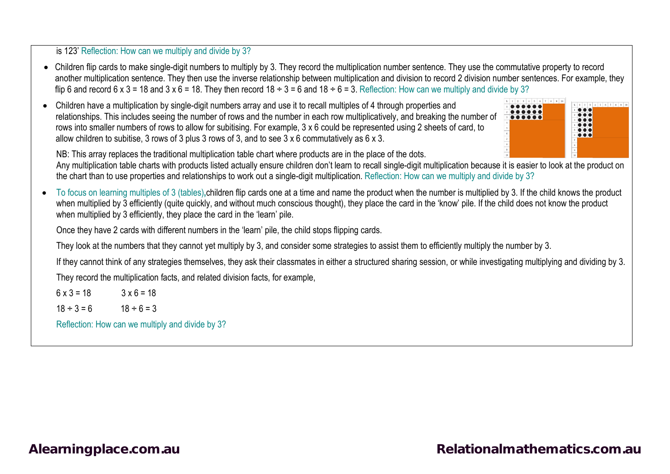is 123' Reflection: How can we multiply and divide by 3?

- Children flip cards to make single-digit numbers to multiply by 3. They record the multiplication number sentence. They use the commutative property to record another multiplication sentence. They then use the inverse relationship between multiplication and division to record 2 division number sentences. For example, they flip 6 and record 6 x 3 = 18 and 3 x 6 = 18. They then record 18  $\div$  3 = 6 and 18  $\div$  6 = 3. Reflection: How can we multiply and divide by 3?
- Children have a multiplication by single-digit numbers array and use it to recall multiples of 4 through properties and relationships. This includes seeing the number of rows and the number in each row multiplicatively, and breaking the number of rows into smaller numbers of rows to allow for subitising. For example, 3 x 6 could be represented using 2 sheets of card, to allow children to subitise, 3 rows of 3 plus 3 rows of 3, and to see 3 x 6 commutatively as 6 x 3.



NB: This array replaces the traditional multiplication table chart where products are in the place of the dots.

Any multiplication table charts with products listed actually ensure children don't learn to recall single-digit multiplication because it is easier to look at the product on the chart than to use properties and relationships to work out a single-digit multiplication. Reflection: How can we multiply and divide by 3?

• To focus on learning multiples of 3 (tables)**,**children flip cards one at a time and name the product when the number is multiplied by 3. If the child knows the product when multiplied by 3 efficiently (quite quickly, and without much conscious thought), they place the card in the 'know' pile. If the child does not know the product when multiplied by 3 efficiently, they place the card in the 'learn' pile.

Once they have 2 cards with different numbers in the 'learn' pile, the child stops flipping cards.

They look at the numbers that they cannot yet multiply by 3, and consider some strategies to assist them to efficiently multiply the number by 3.

If they cannot think of any strategies themselves, they ask their classmates in either a structured sharing session, or while investigating multiplying and dividing by 3.

They record the multiplication facts, and related division facts, for example,

 $6 \times 3 = 18$   $3 \times 6 = 18$  $18 \div 3 = 6$   $18 \div 6 = 3$ Reflection: How can we multiply and divide by 3?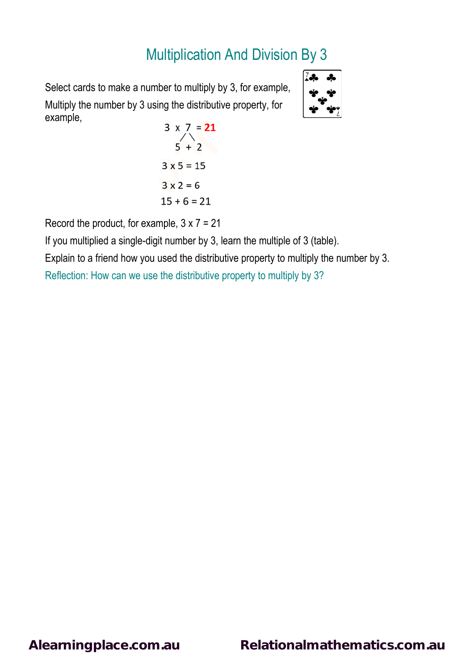Select cards to make a number to multiply by 3, for example, Multiply the number by 3 using the distributive property, for example,

$$
\begin{array}{c}\n\overline{\mathbf{a}} & \mathbf{a} \\
\overline{\mathbf{a}} & \mathbf{a} \\
\overline{\mathbf{a}} & \mathbf{a} \\
\overline{\mathbf{a}} & \mathbf{a} \\
\overline{\mathbf{a}} & \mathbf{a} \\
\overline{\mathbf{a}} & \mathbf{a} \\
\overline{\mathbf{a}} & \mathbf{a} \\
\overline{\mathbf{a}} & \mathbf{a} \\
\overline{\mathbf{a}} & \mathbf{a} \\
\overline{\mathbf{a}} & \mathbf{a} \\
\overline{\mathbf{a}} & \mathbf{a} \\
\overline{\mathbf{a}} & \mathbf{a} \\
\overline{\mathbf{a}} & \mathbf{a} \\
\overline{\mathbf{a}} & \mathbf{a} \\
\overline{\mathbf{a}} & \mathbf{a} \\
\overline{\mathbf{a}} & \mathbf{a} \\
\overline{\mathbf{a}} & \mathbf{a} \\
\overline{\mathbf{a}} & \mathbf{a} \\
\overline{\mathbf{a}} & \mathbf{a} \\
\overline{\mathbf{a}} & \mathbf{a} \\
\overline{\mathbf{a}} & \mathbf{a} \\
\overline{\mathbf{a}} & \mathbf{a} \\
\overline{\mathbf{a}} & \mathbf{a} \\
\overline{\mathbf{a}} & \mathbf{a} \\
\overline{\mathbf{a}} & \mathbf{a} \\
\overline{\mathbf{a}} & \mathbf{a} \\
\overline{\mathbf{a}} & \mathbf{a} \\
\overline{\mathbf{a}} & \mathbf{a} \\
\overline{\mathbf{a}} & \mathbf{a} \\
\overline{\mathbf{a}} & \mathbf{a} \\
\overline{\mathbf{a}} & \mathbf{a} \\
\overline{\mathbf{a}} & \mathbf{a} \\
\overline{\mathbf{a}} & \mathbf{a} \\
\overline{\mathbf{a}} & \mathbf{a} \\
\overline{\mathbf{a}} & \mathbf{a} \\
\overline{\mathbf{a}} & \mathbf{a} \\
\overline{\mathbf{a}} & \mathbf{a} \\
\overline{\mathbf{a}} & \mathbf{a} \\
\overline{\mathbf{a}} & \mathbf{a} \\
\overline{\mathbf{a}} & \mathbf{a} \\
\overline{\mathbf{a}} & \mathbf{a} \\
\overline{\mathbf{a}} & \mathbf{a} \\
\overline{\mathbf{a}} & \mathbf{a} \\
\overline{\mathbf{a}} & \mathbf{a} \\
\overline{\
$$

$$
3 \times 7 = 21
$$
  
\n
$$
5 + 2
$$
  
\n
$$
3 \times 5 = 15
$$
  
\n
$$
3 \times 2 = 6
$$
  
\n
$$
15 + 6 = 21
$$

Record the product, for example,  $3 \times 7 = 21$ 

If you multiplied a single-digit number by 3, learn the multiple of 3 (table).

Explain to a friend how you used the distributive property to multiply the number by 3.

Reflection: How can we use the distributive property to multiply by 3?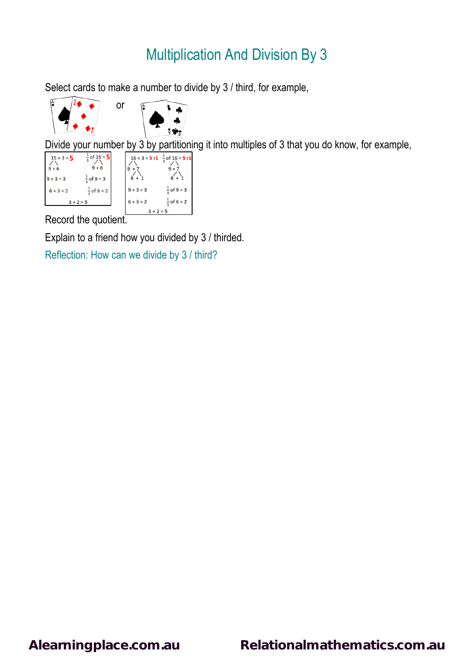Select cards to make a number to divide by 3 / third, for example,



Divide your number by 3 by partitioning it into multiples of 3 that you do know, for example,

| $15 \div 3 = 5$<br>$9 + 6$<br>$9 \div 3 = 3$ | $\frac{1}{3}$ of 15 = 5<br>$9 + 6$<br>$\frac{1}{2}$ of 9 = 3 |             |             | $16 \div 3 = 5 \text{ r1 } \frac{1}{2}$ of $16 = 5 \text{ r1}$ |
|----------------------------------------------|--------------------------------------------------------------|-------------|-------------|----------------------------------------------------------------|
| $6 ÷ 3 = 2$                                  | $\frac{1}{2}$ of 6 = 2                                       |             | $9 ÷ 3 = 3$ | $\frac{1}{2}$ of 9 = 3                                         |
| $3 + 2 = 5$                                  |                                                              |             | $6 ÷ 3 = 2$ | $\frac{1}{2}$ of 6 = 2                                         |
|                                              |                                                              | $3 + 2 = 5$ |             |                                                                |

Record the quotient.

Explain to a friend how you divided by 3 / thirded.

Reflection: How can we divide by 3 / third?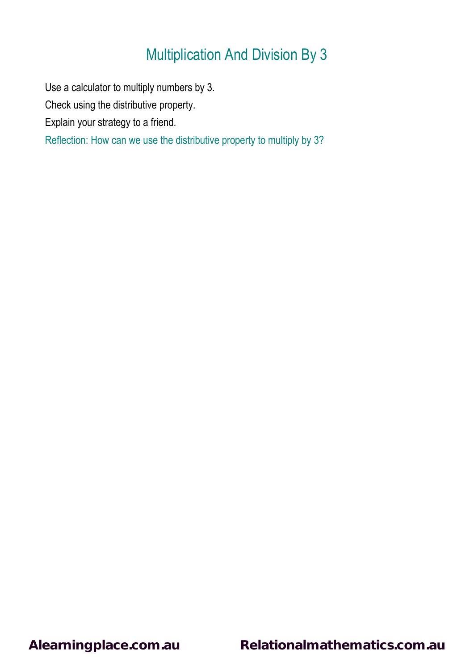Use a calculator to multiply numbers by 3.

Check using the distributive property.

Explain your strategy to a friend.

Reflection: How can we use the distributive property to multiply by 3?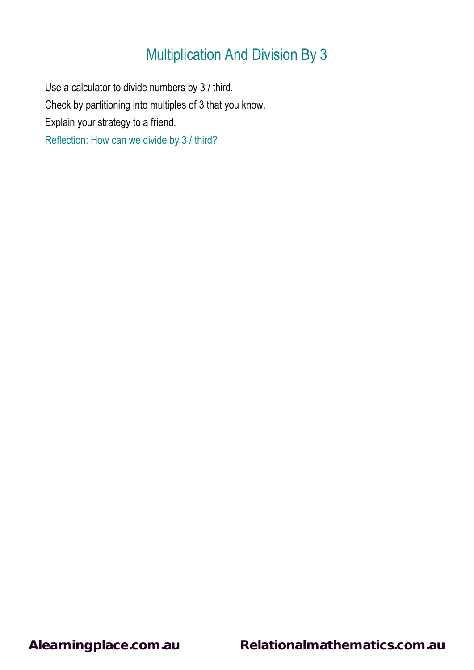Use a calculator to divide numbers by 3 / third. Check by partitioning into multiples of 3 that you know. Explain your strategy to a friend. Reflection: How can we divide by 3 / third?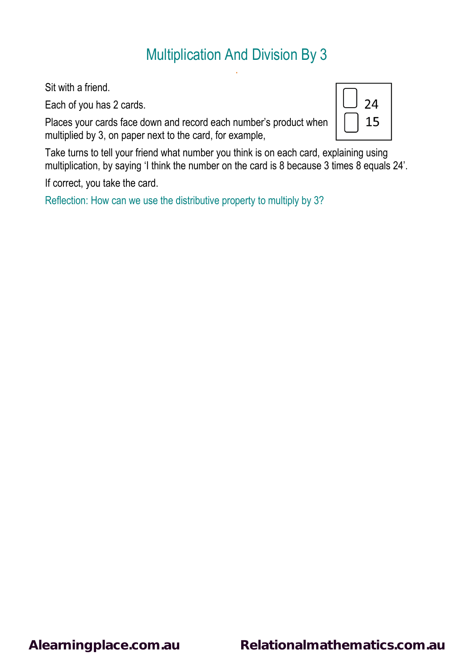.

Sit with a friend.

Each of you has 2 cards.

Places your cards face down and record each number's product when multiplied by 3, on paper next to the card, for example,



Take turns to tell your friend what number you think is on each card, explaining using multiplication, by saying 'I think the number on the card is 8 because 3 times 8 equals 24'.

If correct, you take the card.

Reflection: How can we use the distributive property to multiply by 3?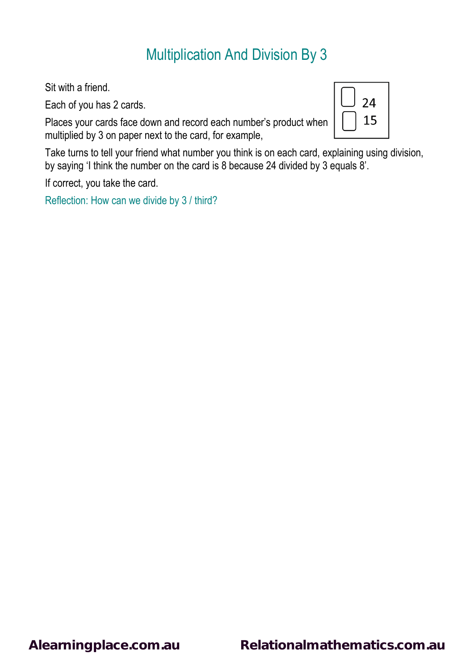Sit with a friend.

Each of you has 2 cards.

Places your cards face down and record each number's product when multiplied by 3 on paper next to the card, for example,



Take turns to tell your friend what number you think is on each card, explaining using division, by saying 'I think the number on the card is 8 because 24 divided by 3 equals 8'.

If correct, you take the card.

Reflection: How can we divide by 3 / third?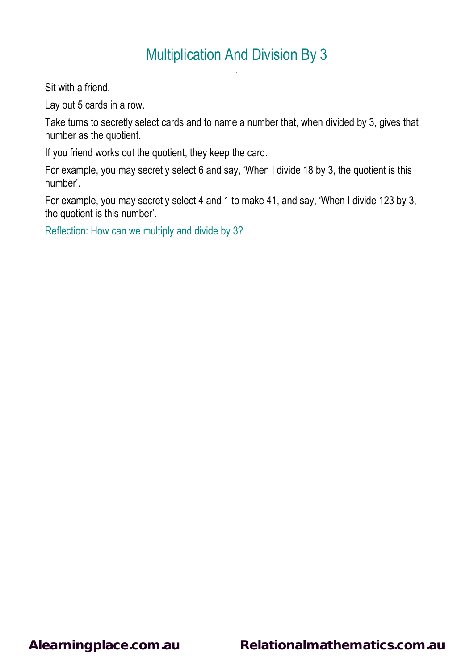.

Sit with a friend.

Lay out 5 cards in a row.

Take turns to secretly select cards and to name a number that, when divided by 3, gives that number as the quotient.

If you friend works out the quotient, they keep the card.

For example, you may secretly select 6 and say, 'When I divide 18 by 3, the quotient is this number'.

For example, you may secretly select 4 and 1 to make 41, and say, 'When I divide 123 by 3, the quotient is this number'.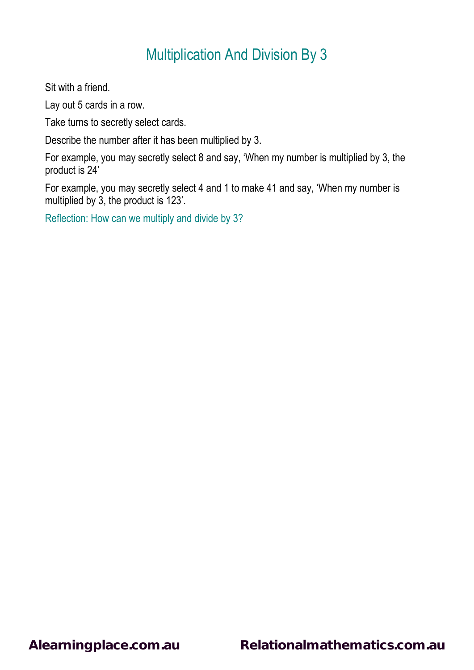Sit with a friend.

Lay out 5 cards in a row.

Take turns to secretly select cards.

Describe the number after it has been multiplied by 3.

For example, you may secretly select 8 and say, 'When my number is multiplied by 3, the product is 24'

For example, you may secretly select 4 and 1 to make 41 and say, 'When my number is multiplied by 3, the product is 123'.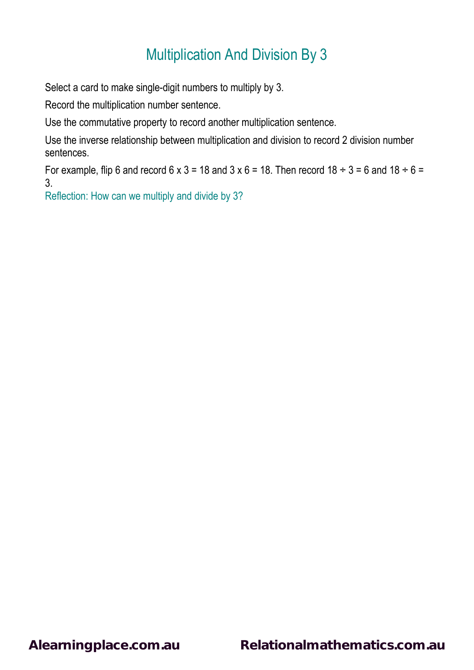Select a card to make single-digit numbers to multiply by 3.

Record the multiplication number sentence.

Use the commutative property to record another multiplication sentence.

Use the inverse relationship between multiplication and division to record 2 division number sentences.

For example, flip 6 and record  $6 \times 3 = 18$  and  $3 \times 6 = 18$ . Then record  $18 \div 3 = 6$  and  $18 \div 6 = 6$ 3.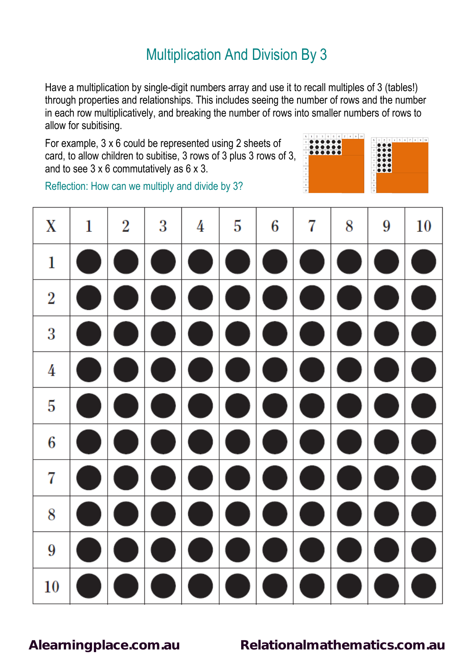Have a multiplication by single-digit numbers array and use it to recall multiples of 3 (tables!) through properties and relationships. This includes seeing the number of rows and the number in each row multiplicatively, and breaking the number of rows into smaller numbers of rows to allow for subitising.

For example, 3 x 6 could be represented using 2 sheets of card, to allow children to subitise, 3 rows of 3 plus 3 rows of 3, and to see 3 x 6 commutatively as 6 x 3.